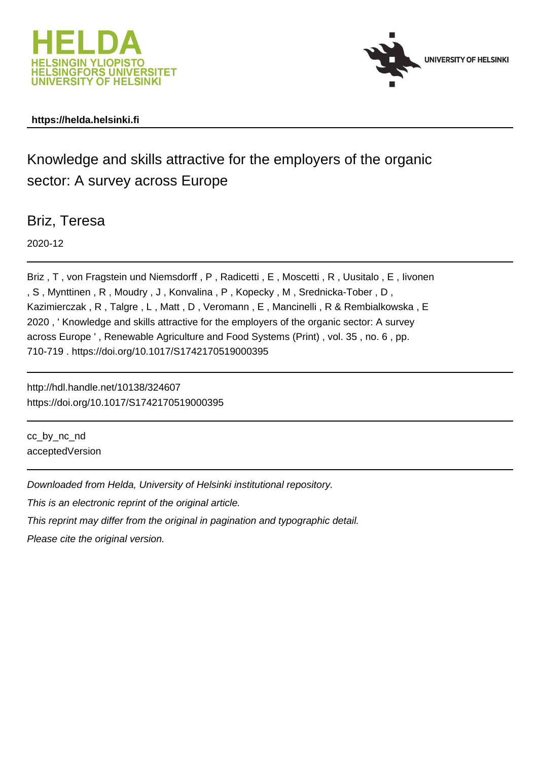



## **https://helda.helsinki.fi**

Knowledge and skills attractive for the employers of the organic sector: A survey across Europe

Briz, Teresa

2020-12

Briz , T , von Fragstein und Niemsdorff , P , Radicetti , E , Moscetti , R , Uusitalo , E , Iivonen , S , Mynttinen , R , Moudry , J , Konvalina , P , Kopecky , M , Srednicka-Tober , D , Kazimierczak , R , Talgre , L , Matt , D , Veromann , E , Mancinelli , R & Rembialkowska , E 2020 , ' Knowledge and skills attractive for the employers of the organic sector: A survey across Europe ' , Renewable Agriculture and Food Systems (Print) , vol. 35 , no. 6 , pp. 710-719 . https://doi.org/10.1017/S1742170519000395

http://hdl.handle.net/10138/324607 https://doi.org/10.1017/S1742170519000395

cc\_by\_nc\_nd acceptedVersion

Downloaded from Helda, University of Helsinki institutional repository.

This is an electronic reprint of the original article.

This reprint may differ from the original in pagination and typographic detail.

Please cite the original version.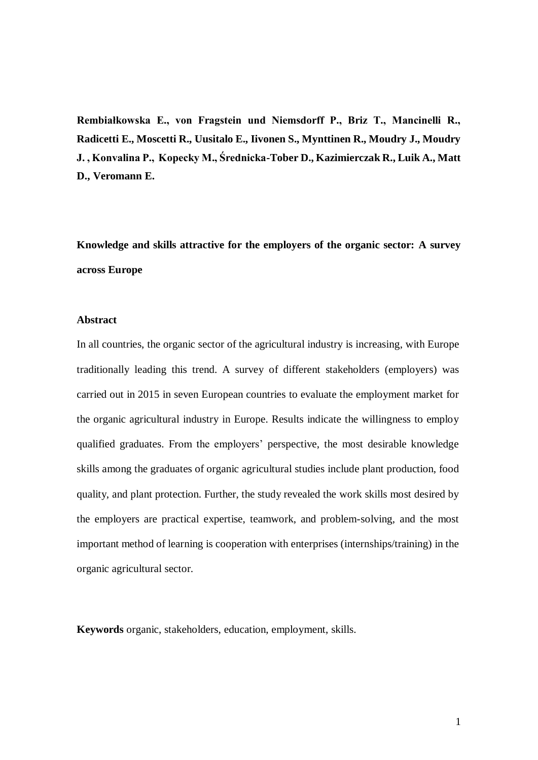**Rembiałkowska E., von Fragstein und Niemsdorff P., Briz T., Mancinelli R., Radicetti E., Moscetti R., Uusitalo E., Iivonen S., Mynttinen R., Moudry J., Moudry J. , Konvalina P., Kopecky M., Średnicka-Tober D., Kazimierczak R., Luik A., Matt D., Veromann E.**

**Knowledge and skills attractive for the employers of the organic sector: A survey across Europe**

#### **Abstract**

In all countries, the organic sector of the agricultural industry is increasing, with Europe traditionally leading this trend. A survey of different stakeholders (employers) was carried out in 2015 in seven European countries to evaluate the employment market for the organic agricultural industry in Europe. Results indicate the willingness to employ qualified graduates. From the employers' perspective, the most desirable knowledge skills among the graduates of organic agricultural studies include plant production, food quality, and plant protection. Further, the study revealed the work skills most desired by the employers are practical expertise, teamwork, and problem-solving, and the most important method of learning is cooperation with enterprises (internships/training) in the organic agricultural sector.

**Keywords** organic, stakeholders, education, employment, skills.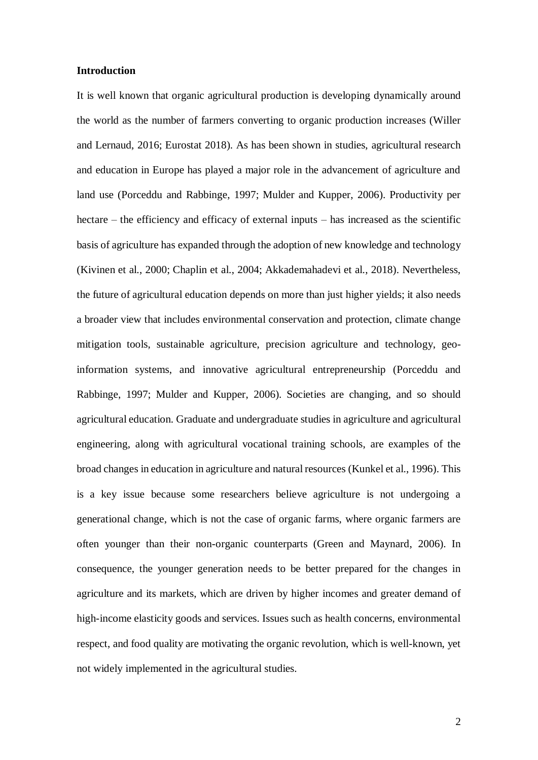#### **Introduction**

It is well known that organic agricultural production is developing dynamically around the world as the number of farmers converting to organic production increases (Willer and Lernaud, 2016; Eurostat 2018). As has been shown in studies, agricultural research and education in Europe has played a major role in the advancement of agriculture and land use (Porceddu and Rabbinge, 1997; Mulder and Kupper, 2006). Productivity per hectare – the efficiency and efficacy of external inputs – has increased as the scientific basis of agriculture has expanded through the adoption of new knowledge and technology (Kivinen et al., 2000; Chaplin et al., 2004; Akkademahadevi et al., 2018). Nevertheless, the future of agricultural education depends on more than just higher yields; it also needs a broader view that includes environmental conservation and protection, climate change mitigation tools, sustainable agriculture, precision agriculture and technology, geoinformation systems, and innovative agricultural entrepreneurship (Porceddu and Rabbinge, 1997; Mulder and Kupper, 2006). Societies are changing, and so should agricultural education. Graduate and undergraduate studies in agriculture and agricultural engineering, along with agricultural vocational training schools, are examples of the broad changes in education in agriculture and natural resources (Kunkel et al., 1996). This is a key issue because some researchers believe agriculture is not undergoing a generational change, which is not the case of organic farms, where organic farmers are often younger than their non-organic counterparts (Green and Maynard, 2006). In consequence, the younger generation needs to be better prepared for the changes in agriculture and its markets, which are driven by higher incomes and greater demand of high-income elasticity goods and services. Issues such as health concerns, environmental respect, and food quality are motivating the organic revolution, which is well-known, yet not widely implemented in the agricultural studies.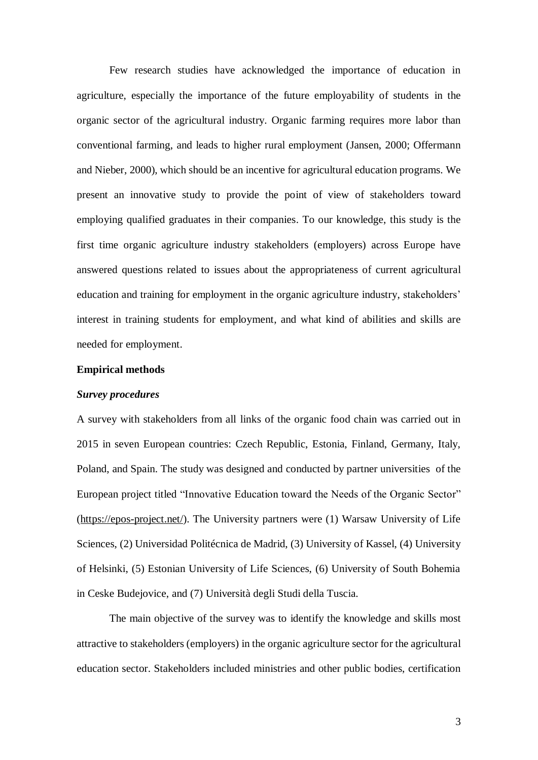Few research studies have acknowledged the importance of education in agriculture, especially the importance of the future employability of students in the organic sector of the agricultural industry. Organic farming requires more labor than conventional farming, and leads to higher rural employment (Jansen, 2000; Offermann and Nieber, 2000), which should be an incentive for agricultural education programs. We present an innovative study to provide the point of view of stakeholders toward employing qualified graduates in their companies. To our knowledge, this study is the first time organic agriculture industry stakeholders (employers) across Europe have answered questions related to issues about the appropriateness of current agricultural education and training for employment in the organic agriculture industry, stakeholders' interest in training students for employment, and what kind of abilities and skills are needed for employment.

#### **Empirical methods**

#### *Survey procedures*

A survey with stakeholders from all links of the organic food chain was carried out in 2015 in seven European countries: Czech Republic, Estonia, Finland, Germany, Italy, Poland, and Spain. The study was designed and conducted by partner universities of the European project titled "Innovative Education toward the Needs of the Organic Sector" [\(https://epos-project.net/\)](https://epos-project.net/). The University partners were (1) Warsaw University of Life Sciences, (2) Universidad Politécnica de Madrid, (3) University of Kassel, (4) University of Helsinki, (5) Estonian University of Life Sciences, (6) University of South Bohemia in Ceske Budejovice, and (7) Università degli Studi della Tuscia.

The main objective of the survey was to identify the knowledge and skills most attractive to stakeholders (employers) in the organic agriculture sector for the agricultural education sector. Stakeholders included ministries and other public bodies, certification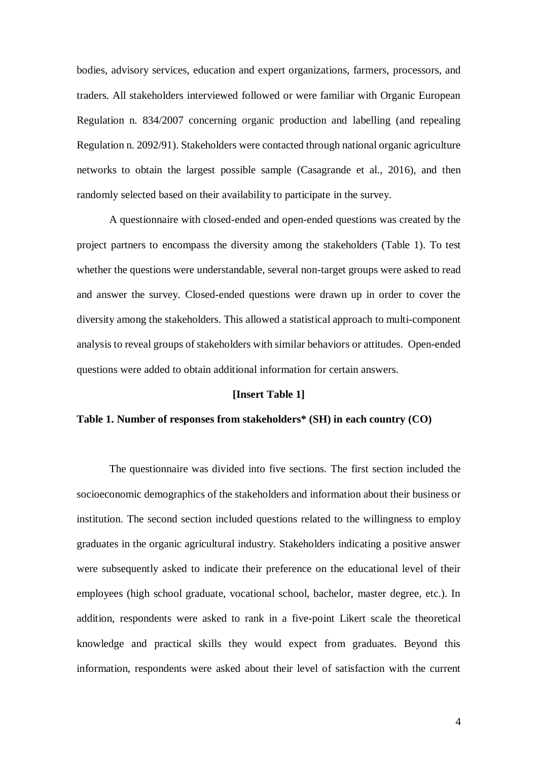bodies, advisory services, education and expert organizations, farmers, processors, and traders. All stakeholders interviewed followed or were familiar with Organic European Regulation n. 834/2007 concerning organic production and labelling (and repealing Regulation n. 2092/91). Stakeholders were contacted through national organic agriculture networks to obtain the largest possible sample (Casagrande et al., 2016), and then randomly selected based on their availability to participate in the survey.

A questionnaire with closed-ended and open-ended questions was created by the project partners to encompass the diversity among the stakeholders (Table 1). To test whether the questions were understandable, several non-target groups were asked to read and answer the survey. Closed-ended questions were drawn up in order to cover the diversity among the stakeholders. This allowed a statistical approach to multi-component analysis to reveal groups of stakeholders with similar behaviors or attitudes. Open-ended questions were added to obtain additional information for certain answers.

#### **[Insert Table 1]**

## **Table 1. Number of responses from stakeholders\* (SH) in each country (CO)**

The questionnaire was divided into five sections. The first section included the socioeconomic demographics of the stakeholders and information about their business or institution. The second section included questions related to the willingness to employ graduates in the organic agricultural industry. Stakeholders indicating a positive answer were subsequently asked to indicate their preference on the educational level of their employees (high school graduate, vocational school, bachelor, master degree, etc.). In addition, respondents were asked to rank in a five-point Likert scale the theoretical knowledge and practical skills they would expect from graduates. Beyond this information, respondents were asked about their level of satisfaction with the current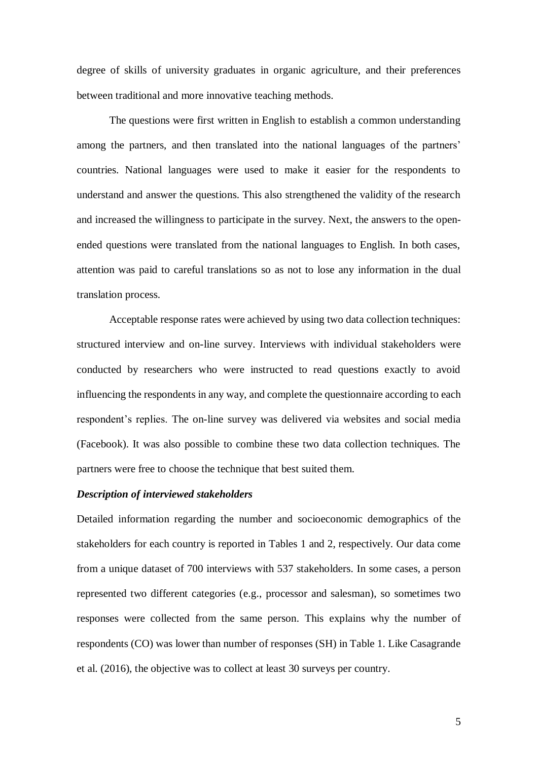degree of skills of university graduates in organic agriculture, and their preferences between traditional and more innovative teaching methods.

The questions were first written in English to establish a common understanding among the partners, and then translated into the national languages of the partners' countries. National languages were used to make it easier for the respondents to understand and answer the questions. This also strengthened the validity of the research and increased the willingness to participate in the survey. Next, the answers to the openended questions were translated from the national languages to English. In both cases, attention was paid to careful translations so as not to lose any information in the dual translation process.

Acceptable response rates were achieved by using two data collection techniques: structured interview and on-line survey. Interviews with individual stakeholders were conducted by researchers who were instructed to read questions exactly to avoid influencing the respondents in any way, and complete the questionnaire according to each respondent's replies. The on-line survey was delivered via websites and social media (Facebook). It was also possible to combine these two data collection techniques. The partners were free to choose the technique that best suited them.

### *Description of interviewed stakeholders*

Detailed information regarding the number and socioeconomic demographics of the stakeholders for each country is reported in Tables 1 and 2, respectively. Our data come from a unique dataset of 700 interviews with 537 stakeholders. In some cases, a person represented two different categories (e.g., processor and salesman), so sometimes two responses were collected from the same person. This explains why the number of respondents (CO) was lower than number of responses (SH) in Table 1. Like Casagrande et al. (2016), the objective was to collect at least 30 surveys per country.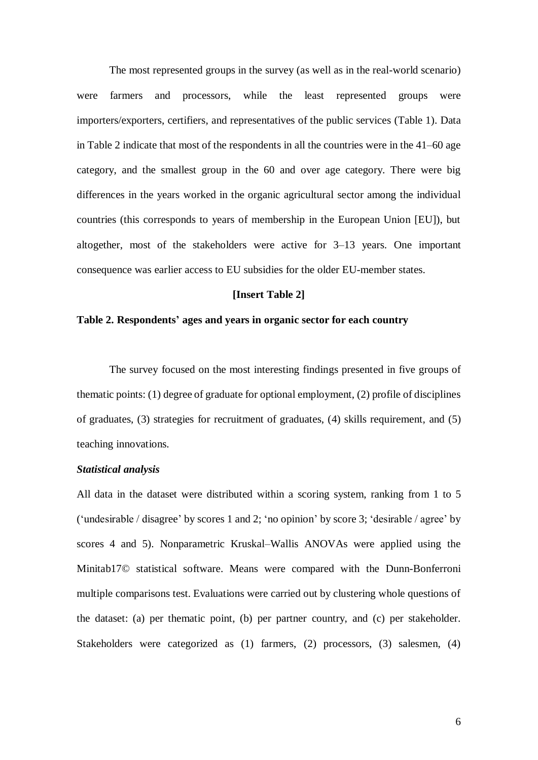The most represented groups in the survey (as well as in the real-world scenario) were farmers and processors, while the least represented groups were importers/exporters, certifiers, and representatives of the public services (Table 1). Data in Table 2 indicate that most of the respondents in all the countries were in the 41–60 age category, and the smallest group in the 60 and over age category. There were big differences in the years worked in the organic agricultural sector among the individual countries (this corresponds to years of membership in the European Union [EU]), but altogether, most of the stakeholders were active for 3–13 years. One important consequence was earlier access to EU subsidies for the older EU-member states.

#### **[Insert Table 2]**

### **Table 2. Respondents' ages and years in organic sector for each country**

The survey focused on the most interesting findings presented in five groups of thematic points: (1) degree of graduate for optional employment, (2) profile of disciplines of graduates, (3) strategies for recruitment of graduates, (4) skills requirement, and (5) teaching innovations.

### *Statistical analysis*

All data in the dataset were distributed within a scoring system, ranking from 1 to 5 ('undesirable / disagree' by scores 1 and 2; 'no opinion' by score 3; 'desirable / agree' by scores 4 and 5). Nonparametric Kruskal–Wallis ANOVAs were applied using the Minitab17© statistical software. Means were compared with the Dunn-Bonferroni multiple comparisons test. Evaluations were carried out by clustering whole questions of the dataset: (a) per thematic point, (b) per partner country, and (c) per stakeholder. Stakeholders were categorized as (1) farmers, (2) processors, (3) salesmen, (4)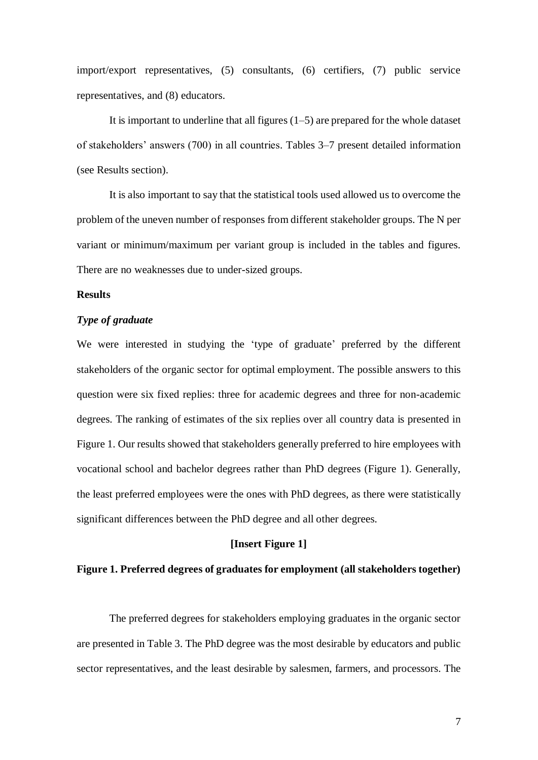import/export representatives, (5) consultants, (6) certifiers, (7) public service representatives, and (8) educators.

It is important to underline that all figures  $(1–5)$  are prepared for the whole dataset of stakeholders' answers (700) in all countries. Tables 3–7 present detailed information (see Results section).

It is also important to say that the statistical tools used allowed us to overcome the problem of the uneven number of responses from different stakeholder groups. The N per variant or minimum/maximum per variant group is included in the tables and figures. There are no weaknesses due to under-sized groups.

## **Results**

## *Type of graduate*

We were interested in studying the 'type of graduate' preferred by the different stakeholders of the organic sector for optimal employment. The possible answers to this question were six fixed replies: three for academic degrees and three for non-academic degrees. The ranking of estimates of the six replies over all country data is presented in Figure 1. Our results showed that stakeholders generally preferred to hire employees with vocational school and bachelor degrees rather than PhD degrees (Figure 1). Generally, the least preferred employees were the ones with PhD degrees, as there were statistically significant differences between the PhD degree and all other degrees.

## **[Insert Figure 1]**

### **Figure 1. Preferred degrees of graduates for employment (all stakeholders together)**

The preferred degrees for stakeholders employing graduates in the organic sector are presented in Table 3. The PhD degree was the most desirable by educators and public sector representatives, and the least desirable by salesmen, farmers, and processors. The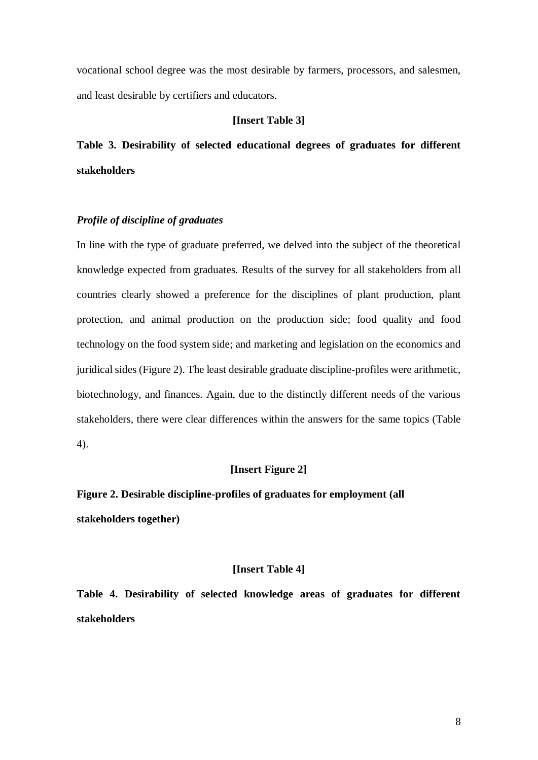vocational school degree was the most desirable by farmers, processors, and salesmen, and least desirable by certifiers and educators.

#### **[Insert Table 3]**

**Table 3. Desirability of selected educational degrees of graduates for different stakeholders**

## *Profile of discipline of graduates*

In line with the type of graduate preferred, we delved into the subject of the theoretical knowledge expected from graduates. Results of the survey for all stakeholders from all countries clearly showed a preference for the disciplines of plant production, plant protection, and animal production on the production side; food quality and food technology on the food system side; and marketing and legislation on the economics and juridical sides (Figure 2). The least desirable graduate discipline-profiles were arithmetic, biotechnology, and finances. Again, due to the distinctly different needs of the various stakeholders, there were clear differences within the answers for the same topics (Table 4).

## **[Insert Figure 2]**

**Figure 2. Desirable discipline-profiles of graduates for employment (all stakeholders together)**

## **[Insert Table 4]**

**Table 4. Desirability of selected knowledge areas of graduates for different stakeholders**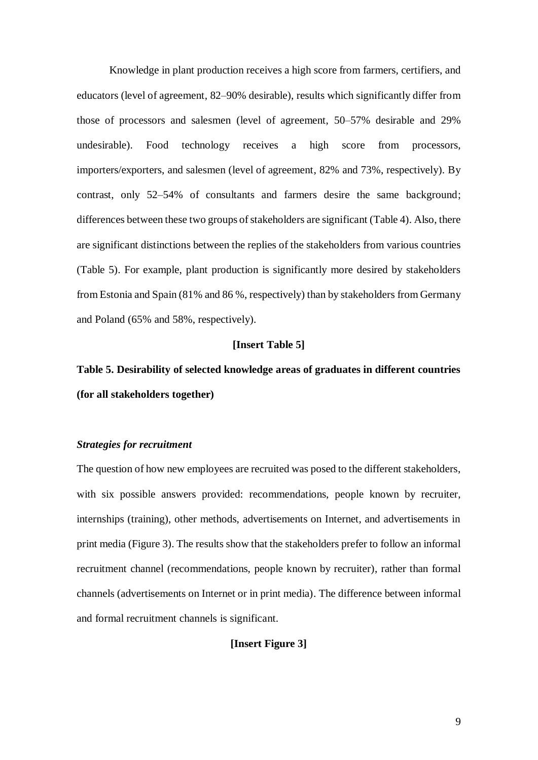Knowledge in plant production receives a high score from farmers, certifiers, and educators (level of agreement, 82–90% desirable), results which significantly differ from those of processors and salesmen (level of agreement, 50–57% desirable and 29% undesirable). Food technology receives a high score from processors, importers/exporters, and salesmen (level of agreement, 82% and 73%, respectively). By contrast, only 52–54% of consultants and farmers desire the same background; differences between these two groups of stakeholders are significant (Table 4). Also, there are significant distinctions between the replies of the stakeholders from various countries (Table 5). For example, plant production is significantly more desired by stakeholders from Estonia and Spain (81% and 86 %, respectively) than by stakeholders from Germany and Poland (65% and 58%, respectively).

#### **[Insert Table 5]**

# **Table 5. Desirability of selected knowledge areas of graduates in different countries (for all stakeholders together)**

## *Strategies for recruitment*

The question of how new employees are recruited was posed to the different stakeholders, with six possible answers provided: recommendations, people known by recruiter, internships (training), other methods, advertisements on Internet, and advertisements in print media (Figure 3). The results show that the stakeholders prefer to follow an informal recruitment channel (recommendations, people known by recruiter), rather than formal channels (advertisements on Internet or in print media). The difference between informal and formal recruitment channels is significant.

## **[Insert Figure 3]**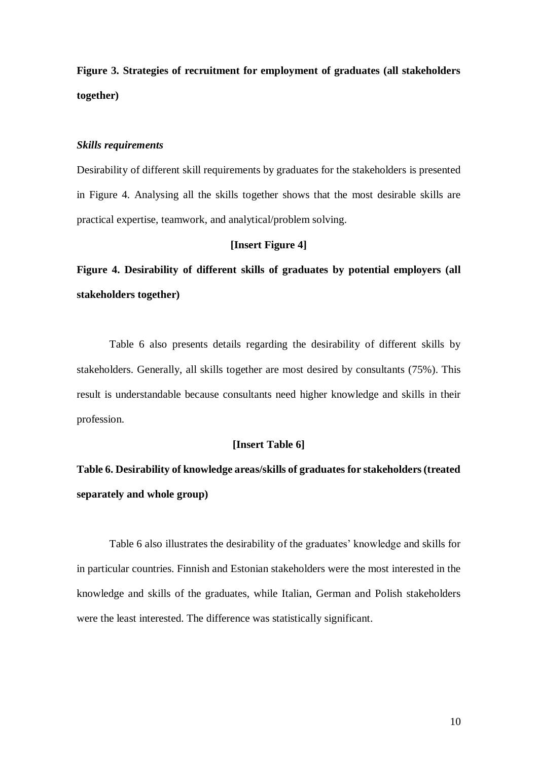**Figure 3. Strategies of recruitment for employment of graduates (all stakeholders together)**

#### *Skills requirements*

Desirability of different skill requirements by graduates for the stakeholders is presented in Figure 4. Analysing all the skills together shows that the most desirable skills are practical expertise, teamwork, and analytical/problem solving.

## **[Insert Figure 4]**

**Figure 4. Desirability of different skills of graduates by potential employers (all stakeholders together)**

Table 6 also presents details regarding the desirability of different skills by stakeholders. Generally, all skills together are most desired by consultants (75%). This result is understandable because consultants need higher knowledge and skills in their profession.

#### **[Insert Table 6]**

# **Table 6. Desirability of knowledge areas/skills of graduates for stakeholders (treated separately and whole group)**

Table 6 also illustrates the desirability of the graduates' knowledge and skills for in particular countries. Finnish and Estonian stakeholders were the most interested in the knowledge and skills of the graduates, while Italian, German and Polish stakeholders were the least interested. The difference was statistically significant.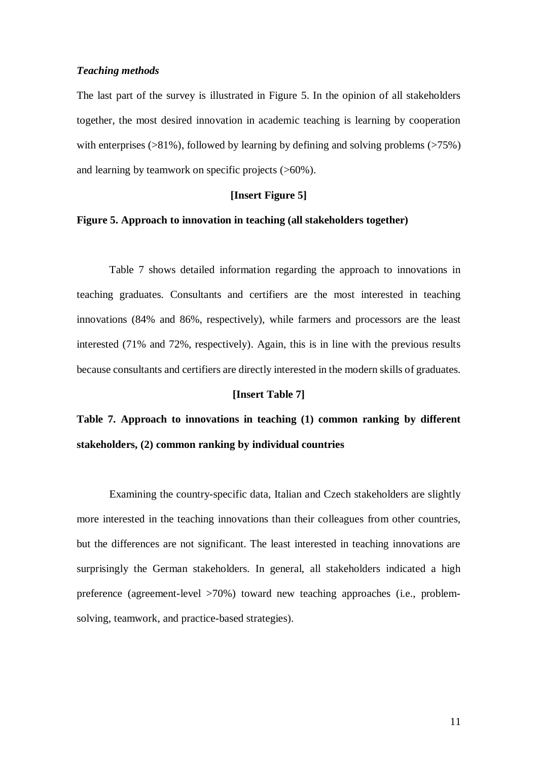#### *Teaching methods*

The last part of the survey is illustrated in Figure 5. In the opinion of all stakeholders together, the most desired innovation in academic teaching is learning by cooperation with enterprises  $(>81\%)$ , followed by learning by defining and solving problems  $(>75\%)$ and learning by teamwork on specific projects (>60%).

### **[Insert Figure 5]**

## **Figure 5. Approach to innovation in teaching (all stakeholders together)**

Table 7 shows detailed information regarding the approach to innovations in teaching graduates. Consultants and certifiers are the most interested in teaching innovations (84% and 86%, respectively), while farmers and processors are the least interested (71% and 72%, respectively). Again, this is in line with the previous results because consultants and certifiers are directly interested in the modern skills of graduates.

#### **[Insert Table 7]**

**Table 7. Approach to innovations in teaching (1) common ranking by different stakeholders, (2) common ranking by individual countries** 

Examining the country-specific data, Italian and Czech stakeholders are slightly more interested in the teaching innovations than their colleagues from other countries, but the differences are not significant. The least interested in teaching innovations are surprisingly the German stakeholders. In general, all stakeholders indicated a high preference (agreement-level >70%) toward new teaching approaches (i.e., problemsolving, teamwork, and practice-based strategies).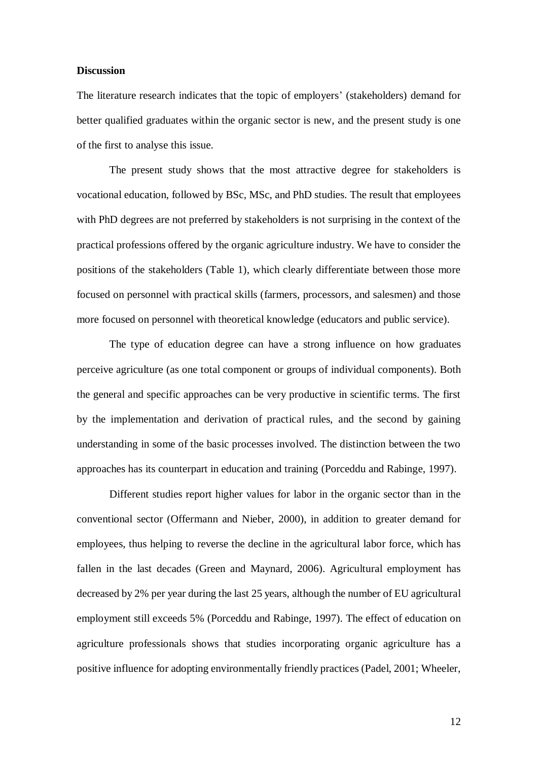#### **Discussion**

The literature research indicates that the topic of employers' (stakeholders) demand for better qualified graduates within the organic sector is new, and the present study is one of the first to analyse this issue.

The present study shows that the most attractive degree for stakeholders is vocational education, followed by BSc, MSc, and PhD studies. The result that employees with PhD degrees are not preferred by stakeholders is not surprising in the context of the practical professions offered by the organic agriculture industry. We have to consider the positions of the stakeholders (Table 1), which clearly differentiate between those more focused on personnel with practical skills (farmers, processors, and salesmen) and those more focused on personnel with theoretical knowledge (educators and public service).

The type of education degree can have a strong influence on how graduates perceive agriculture (as one total component or groups of individual components). Both the general and specific approaches can be very productive in scientific terms. The first by the implementation and derivation of practical rules, and the second by gaining understanding in some of the basic processes involved. The distinction between the two approaches has its counterpart in education and training (Porceddu and Rabinge, 1997).

Different studies report higher values for labor in the organic sector than in the conventional sector (Offermann and Nieber, 2000), in addition to greater demand for employees, thus helping to reverse the decline in the agricultural labor force, which has fallen in the last decades (Green and Maynard, 2006). Agricultural employment has decreased by 2% per year during the last 25 years, although the number of EU agricultural employment still exceeds 5% (Porceddu and Rabinge, 1997). The effect of education on agriculture professionals shows that studies incorporating organic agriculture has a positive influence for adopting environmentally friendly practices (Padel, 2001; Wheeler,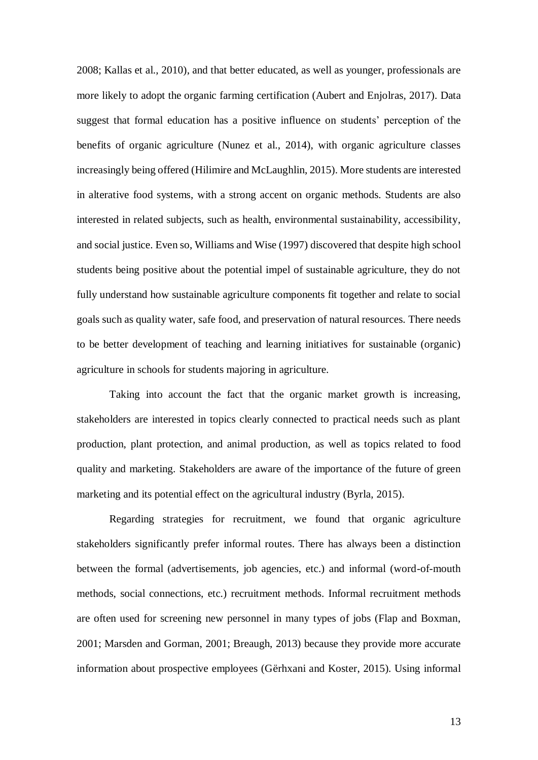2008; Kallas et al., 2010), and that better educated, as well as younger, professionals are more likely to adopt the organic farming certification (Aubert and Enjolras, 2017). Data suggest that formal education has a positive influence on students' perception of the benefits of organic agriculture (Nunez et al., 2014), with organic agriculture classes increasingly being offered (Hilimire and McLaughlin, 2015). More students are interested in alterative food systems, with a strong accent on organic methods. Students are also interested in related subjects, such as health, environmental sustainability, accessibility, and social justice. Even so, Williams and Wise (1997) discovered that despite high school students being positive about the potential impel of sustainable agriculture, they do not fully understand how sustainable agriculture components fit together and relate to social goals such as quality water, safe food, and preservation of natural resources. There needs to be better development of teaching and learning initiatives for sustainable (organic) agriculture in schools for students majoring in agriculture.

Taking into account the fact that the organic market growth is increasing, stakeholders are interested in topics clearly connected to practical needs such as plant production, plant protection, and animal production, as well as topics related to food quality and marketing. Stakeholders are aware of the importance of the future of green marketing and its potential effect on the agricultural industry (Byrla, 2015).

Regarding strategies for recruitment, we found that organic agriculture stakeholders significantly prefer informal routes. There has always been a distinction between the formal (advertisements, job agencies, etc.) and informal (word-of-mouth methods, social connections, etc.) recruitment methods. Informal recruitment methods are often used for screening new personnel in many types of jobs (Flap and Boxman, 2001; Marsden and Gorman, 2001; Breaugh, 2013) because they provide more accurate information about prospective employees (Gërhxani and Koster, 2015). Using informal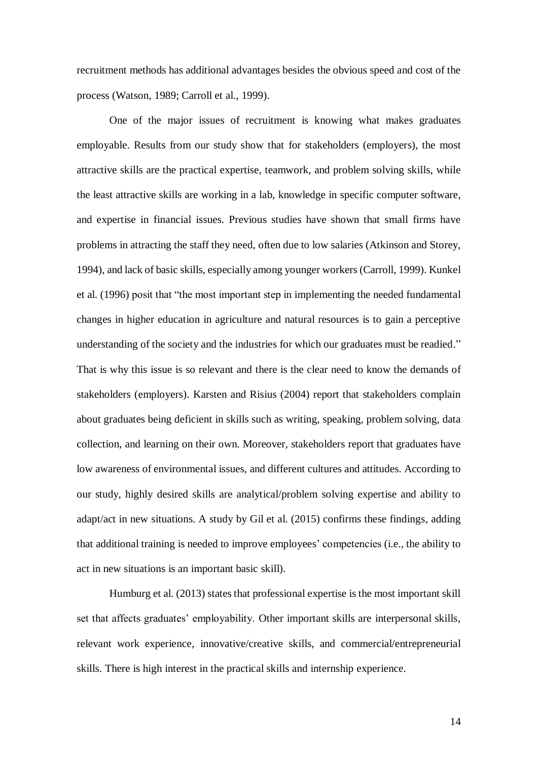recruitment methods has additional advantages besides the obvious speed and cost of the process (Watson, 1989; Carroll et al., 1999).

One of the major issues of recruitment is knowing what makes graduates employable. Results from our study show that for stakeholders (employers), the most attractive skills are the practical expertise, teamwork, and problem solving skills, while the least attractive skills are working in a lab, knowledge in specific computer software, and expertise in financial issues. Previous studies have shown that small firms have problems in attracting the staff they need, often due to low salaries (Atkinson and Storey, 1994), and lack of basic skills, especially among younger workers (Carroll, 1999). Kunkel et al. (1996) posit that "the most important step in implementing the needed fundamental changes in higher education in agriculture and natural resources is to gain a perceptive understanding of the society and the industries for which our graduates must be readied." That is why this issue is so relevant and there is the clear need to know the demands of stakeholders (employers). Karsten and Risius (2004) report that stakeholders complain about graduates being deficient in skills such as writing, speaking, problem solving, data collection, and learning on their own. Moreover, stakeholders report that graduates have low awareness of environmental issues, and different cultures and attitudes. According to our study, highly desired skills are analytical/problem solving expertise and ability to adapt/act in new situations. A study by Gil et al. (2015) confirms these findings, adding that additional training is needed to improve employees' competencies (i.e., the ability to act in new situations is an important basic skill).

Humburg et al. (2013) states that professional expertise is the most important skill set that affects graduates' employability. Other important skills are interpersonal skills, relevant work experience, innovative/creative skills, and commercial/entrepreneurial skills. There is high interest in the practical skills and internship experience.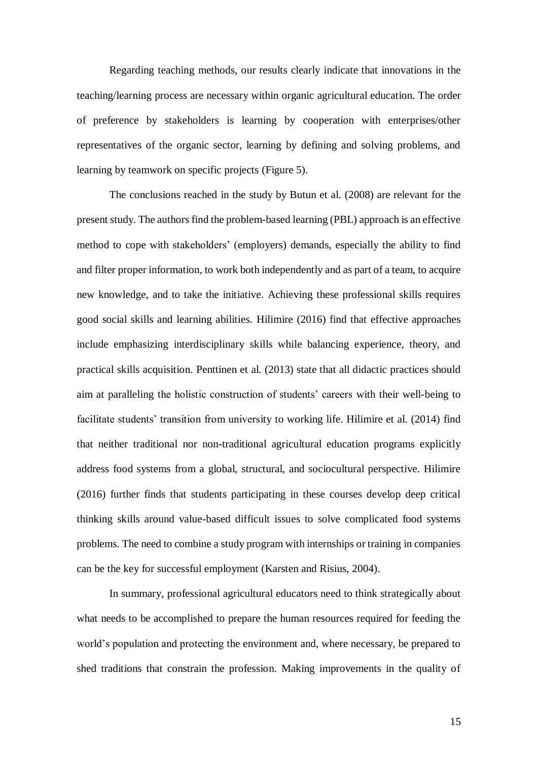Regarding teaching methods, our results clearly indicate that innovations in the teaching/learning process are necessary within organic agricultural education. The order of preference by stakeholders is learning by cooperation with enterprises/other representatives of the organic sector, learning by defining and solving problems, and learning by teamwork on specific projects (Figure 5).

The conclusions reached in the study by Butun et al. (2008) are relevant for the present study. The authors find the problem-based learning (PBL) approach is an effective method to cope with stakeholders' (employers) demands, especially the ability to find and filter proper information, to work both independently and as part of a team, to acquire new knowledge, and to take the initiative. Achieving these professional skills requires good social skills and learning abilities. Hilimire (2016) find that effective approaches include emphasizing interdisciplinary skills while balancing experience, theory, and practical skills acquisition. Penttinen et al. (2013) state that all didactic practices should aim at paralleling the holistic construction of students' careers with their well-being to facilitate students' transition from university to working life. Hilimire et al. (2014) find that neither traditional nor non-traditional agricultural education programs explicitly address food systems from a global, structural, and sociocultural perspective. Hilimire (2016) further finds that students participating in these courses develop deep critical thinking skills around value-based difficult issues to solve complicated food systems problems. The need to combine a study program with internships or training in companies can be the key for successful employment (Karsten and Risius, 2004).

In summary, professional agricultural educators need to think strategically about what needs to be accomplished to prepare the human resources required for feeding the world's population and protecting the environment and, where necessary, be prepared to shed traditions that constrain the profession. Making improvements in the quality of

15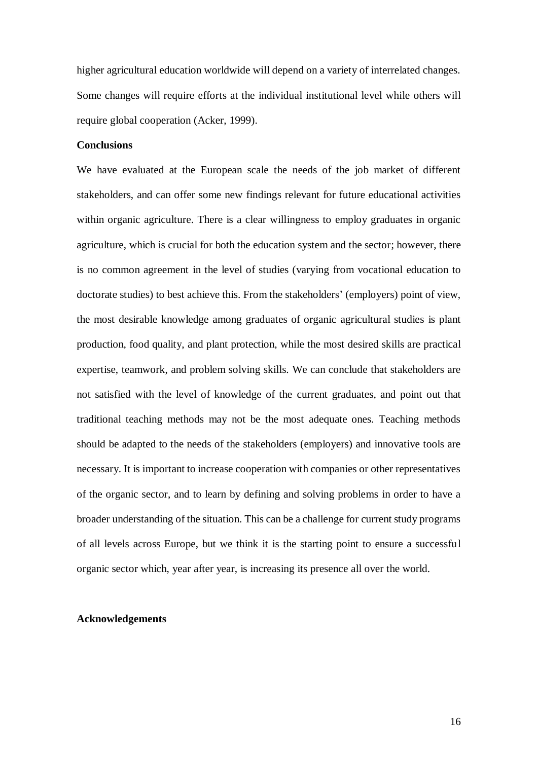higher agricultural education worldwide will depend on a variety of interrelated changes. Some changes will require efforts at the individual institutional level while others will require global cooperation (Acker, 1999).

### **Conclusions**

We have evaluated at the European scale the needs of the job market of different stakeholders, and can offer some new findings relevant for future educational activities within organic agriculture. There is a clear willingness to employ graduates in organic agriculture, which is crucial for both the education system and the sector; however, there is no common agreement in the level of studies (varying from vocational education to doctorate studies) to best achieve this. From the stakeholders' (employers) point of view, the most desirable knowledge among graduates of organic agricultural studies is plant production, food quality, and plant protection, while the most desired skills are practical expertise, teamwork, and problem solving skills. We can conclude that stakeholders are not satisfied with the level of knowledge of the current graduates, and point out that traditional teaching methods may not be the most adequate ones. Teaching methods should be adapted to the needs of the stakeholders (employers) and innovative tools are necessary. It is important to increase cooperation with companies or other representatives of the organic sector, and to learn by defining and solving problems in order to have a broader understanding of the situation. This can be a challenge for current study programs of all levels across Europe, but we think it is the starting point to ensure a successful organic sector which, year after year, is increasing its presence all over the world.

## **Acknowledgements**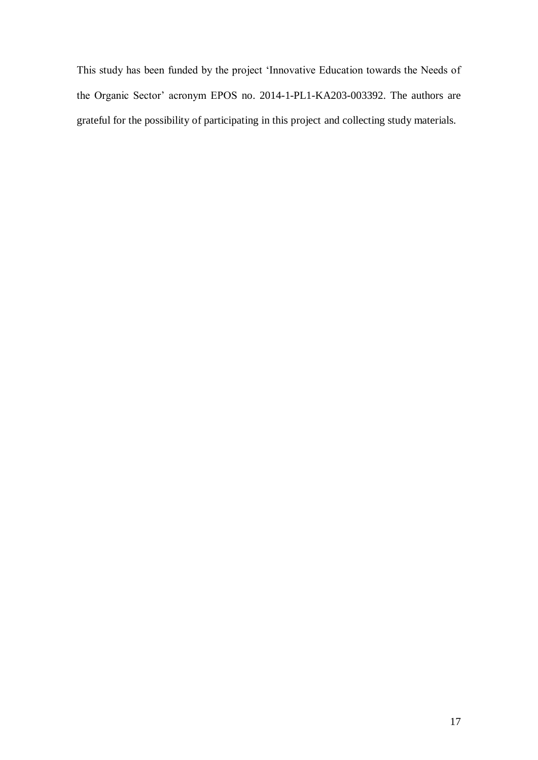This study has been funded by the project 'Innovative Education towards the Needs of the Organic Sector' acronym EPOS no. 2014-1-PL1-KA203-003392. The authors are grateful for the possibility of participating in this project and collecting study materials.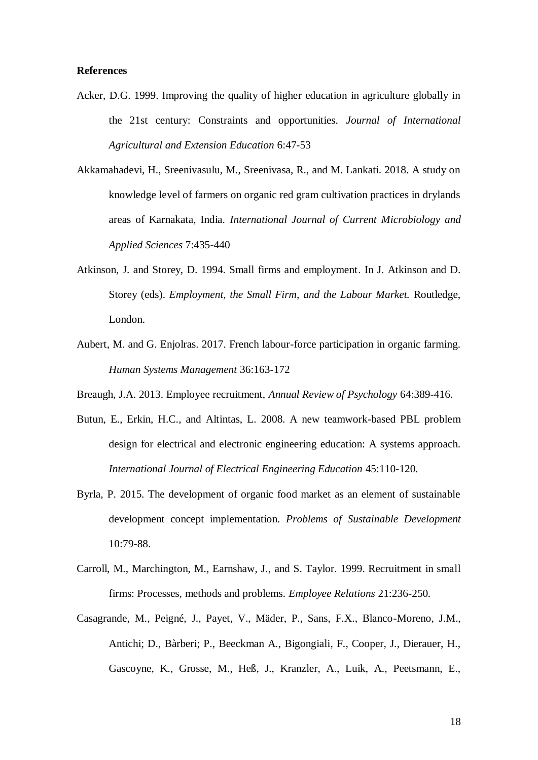#### **References**

Acker, D.G. 1999. Improving the quality of higher education in agriculture globally in the 21st century: Constraints and opportunities. *Journal of International Agricultural and Extension Education* 6:47-53

Akkamahadevi, H., Sreenivasulu, M., Sreenivasa, R., and M. Lankati. 2018. A study on knowledge level of farmers on organic red gram cultivation practices in drylands areas of Karnakata, India. *International Journal of Current Microbiology and Applied Sciences* 7:435-440

- Atkinson, J. and Storey, D. 1994. Small firms and employment. In J. Atkinson and D. Storey (eds). *Employment, the Small Firm, and the Labour Market.* Routledge, London.
- Aubert, M. and G. Enjolras. 2017. French labour-force participation in organic farming. *Human Systems Management* 36:163-172
- Breaugh, J.A. 2013. Employee recruitment, *Annual Review of Psychology* 64:389-416.
- Butun, E., Erkin, H.C., and Altintas, L. 2008. A new teamwork-based PBL problem design for electrical and electronic engineering education: A systems approach. *International Journal of Electrical Engineering Education* 45:110-120.
- Byrla, P. 2015. The development of organic food market as an element of sustainable development concept implementation. *Problems of Sustainable Development* 10:79-88.
- Carroll, M., Marchington, M., Earnshaw, J., and S. Taylor. 1999. Recruitment in small firms: Processes, methods and problems. *Employee Relations* 21:236-250.
- Casagrande, M., Peigné, J., Payet, V., Mäder, P., Sans, F.X., Blanco-Moreno, J.M., Antichi; D., Bàrberi; P., Beeckman A., Bigongiali, F., Cooper, J., Dierauer, H., Gascoyne, K., Grosse, M., Heß, J., Kranzler, A., Luik, A., Peetsmann, E.,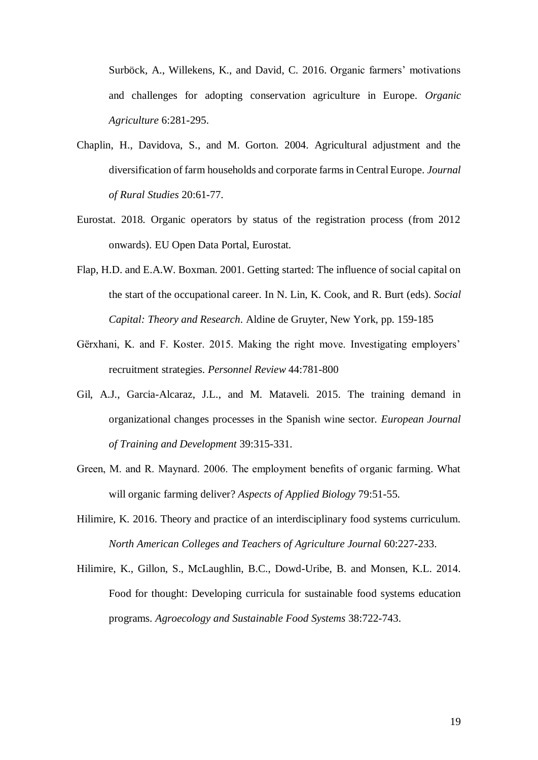Surböck, A., Willekens, K., and David, C. 2016. Organic farmers' motivations and challenges for adopting conservation agriculture in Europe. *Organic Agriculture* 6:281-295.

- Chaplin, H., Davidova, S., and M. Gorton. 2004. Agricultural adjustment and the diversification of farm households and corporate farms in Central Europe. *Journal of Rural Studies* 20:61-77.
- Eurostat. 2018. Organic operators by status of the registration process (from 2012 onwards). EU Open Data Portal, Eurostat.
- Flap, H.D. and E.A.W. Boxman. 2001. Getting started: The influence of social capital on the start of the occupational career. In N. Lin, K. Cook, and R. Burt (eds). *Social Capital: Theory and Research*. Aldine de Gruyter, New York, pp. 159-185
- Gërxhani, K. and F. Koster. 2015. Making the right move. Investigating employers' recruitment strategies. *Personnel Review* 44:781-800
- Gil, A.J., Garcia-Alcaraz, J.L., and M. Mataveli. 2015. The training demand in organizational changes processes in the Spanish wine sector. *European Journal of Training and Development* 39:315-331.
- Green, M. and R. Maynard. 2006. The employment benefits of organic farming. What will organic farming deliver? *Aspects of Applied Biology* 79:51-55.
- Hilimire, K. 2016. Theory and practice of an interdisciplinary food systems curriculum. *North American Colleges and Teachers of Agriculture Journal* 60:227-233.
- Hilimire, K., Gillon, S., McLaughlin, B.C., Dowd-Uribe, B. and Monsen, K.L. 2014. Food for thought: Developing curricula for sustainable food systems education programs. *Agroecology and Sustainable Food Systems* 38:722-743.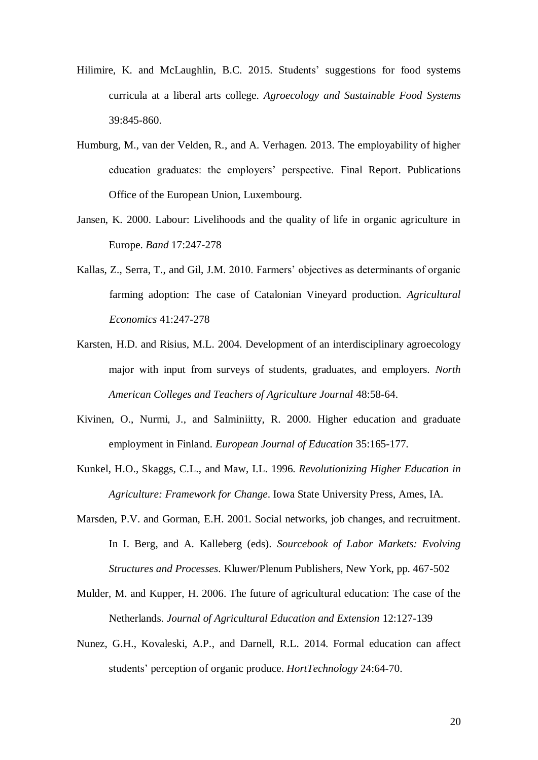- Hilimire, K. and McLaughlin, B.C. 2015. Students' suggestions for food systems curricula at a liberal arts college. *Agroecology and Sustainable Food Systems* 39:845-860.
- Humburg, M., van der Velden, R., and A. Verhagen. 2013. The employability of higher education graduates: the employers' perspective. Final Report. Publications Office of the European Union, Luxembourg.
- Jansen, K. 2000. Labour: Livelihoods and the quality of life in organic agriculture in Europe. *Band* 17:247-278
- Kallas, Z., Serra, T., and Gil, J.M. 2010. Farmers' objectives as determinants of organic farming adoption: The case of Catalonian Vineyard production. *Agricultural Economics* 41:247-278
- Karsten, H.D. and Risius, M.L. 2004. Development of an interdisciplinary agroecology major with input from surveys of students, graduates, and employers. *North American Colleges and Teachers of Agriculture Journal* 48:58-64.
- Kivinen, O., Nurmi, J., and Salminiitty, R. 2000. Higher education and graduate employment in Finland. *European Journal of Education* 35:165-177.
- Kunkel, H.O., Skaggs, C.L., and Maw, I.L. 1996. *Revolutionizing Higher Education in Agriculture: Framework for Change*. Iowa State University Press, Ames, IA.
- Marsden, P.V. and Gorman, E.H. 2001. Social networks, job changes, and recruitment. In I. Berg, and A. Kalleberg (eds). *Sourcebook of Labor Markets: Evolving Structures and Processes*. Kluwer/Plenum Publishers, New York, pp. 467-502
- Mulder, M. and Kupper, H. 2006. The future of agricultural education: The case of the Netherlands. *Journal of Agricultural Education and Extension* 12:127-139
- Nunez, G.H., Kovaleski, A.P., and Darnell, R.L. 2014. Formal education can affect students' perception of organic produce. *HortTechnology* 24:64-70.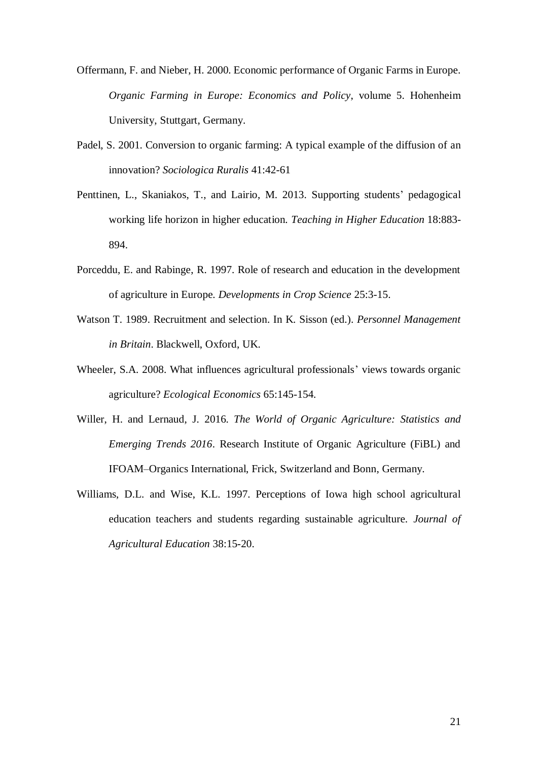- Offermann, F. and Nieber, H. 2000. Economic performance of Organic Farms in Europe. *Organic Farming in Europe: Economics and Policy*, volume 5. Hohenheim University, Stuttgart, Germany.
- Padel, S. 2001. Conversion to organic farming: A typical example of the diffusion of an innovation? *Sociologica Ruralis* 41:42-61
- Penttinen, L., Skaniakos, T., and Lairio, M. 2013. Supporting students' pedagogical working life horizon in higher education*. Teaching in Higher Education* 18:883- 894.
- Porceddu, E. and Rabinge, R. 1997. Role of research and education in the development of agriculture in Europe. *Developments in Crop Science* 25:3-15.
- Watson T. 1989. Recruitment and selection. In K. Sisson (ed.). *Personnel Management in Britain*. Blackwell, Oxford, UK.
- Wheeler, S.A. 2008. What influences agricultural professionals' views towards organic agriculture? *Ecological Economics* 65:145-154.
- Willer, H. and Lernaud, J. 2016. *The World of Organic Agriculture: Statistics and Emerging Trends 2016*. Research Institute of Organic Agriculture (FiBL) and IFOAM–Organics International, Frick, Switzerland and Bonn, Germany.
- Williams, D.L. and Wise, K.L. 1997. Perceptions of Iowa high school agricultural education teachers and students regarding sustainable agriculture. *Journal of Agricultural Education* 38:15-20.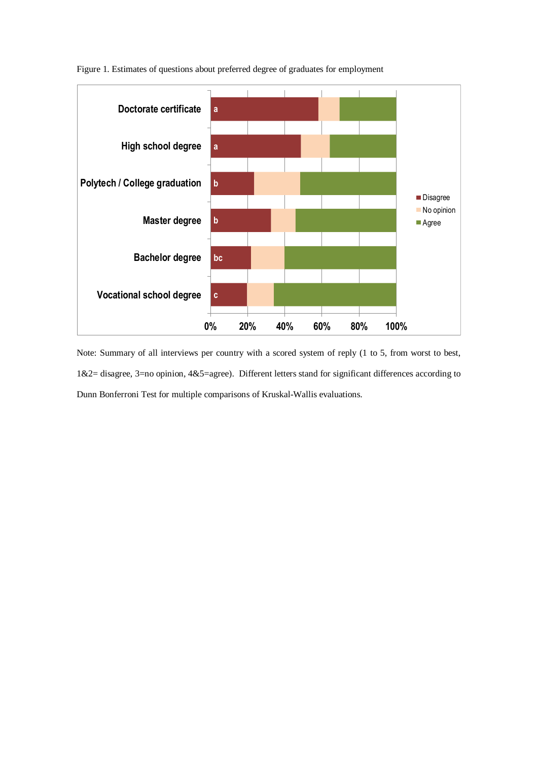

Figure 1. Estimates of questions about preferred degree of graduates for employment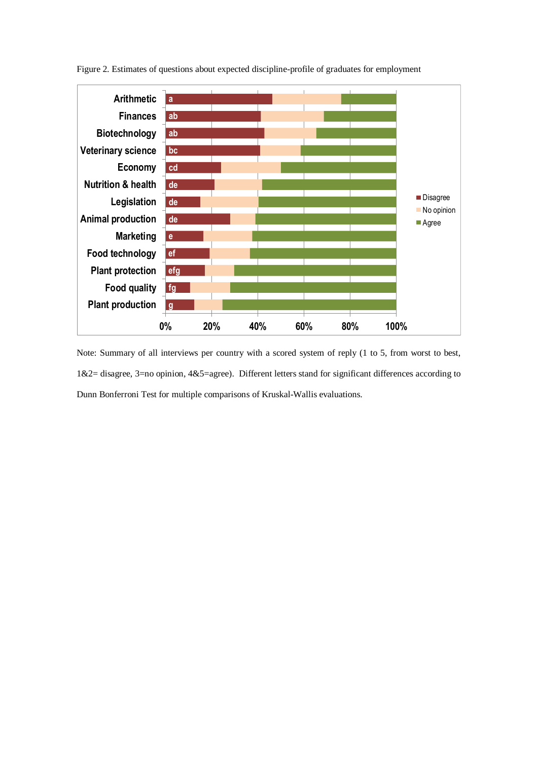

Figure 2. Estimates of questions about expected discipline-profile of graduates for employment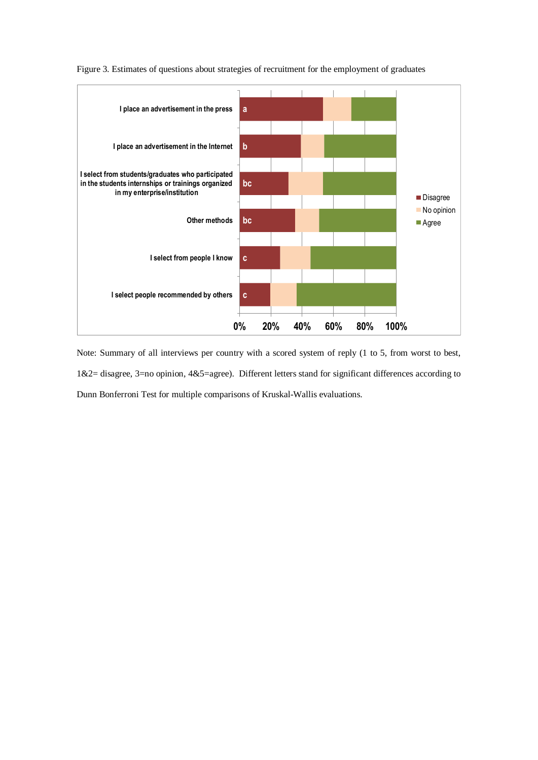

#### Figure 3. Estimates of questions about strategies of recruitment for the employment of graduates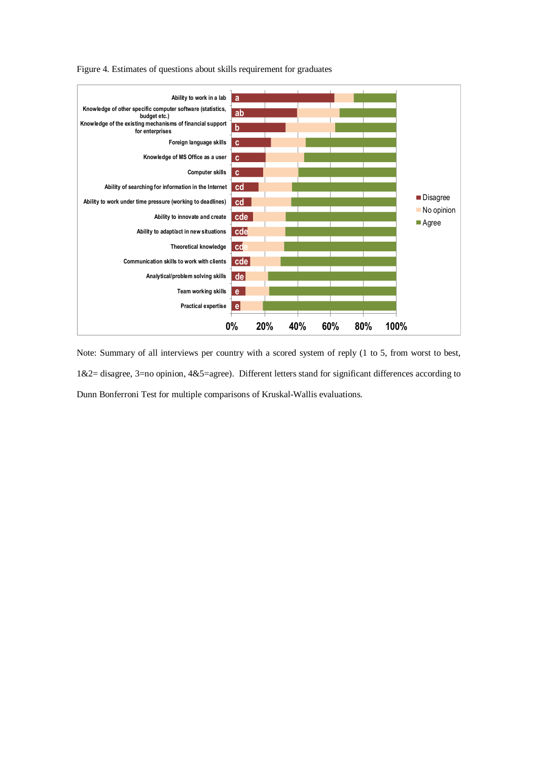

Figure 4. Estimates of questions about skills requirement for graduates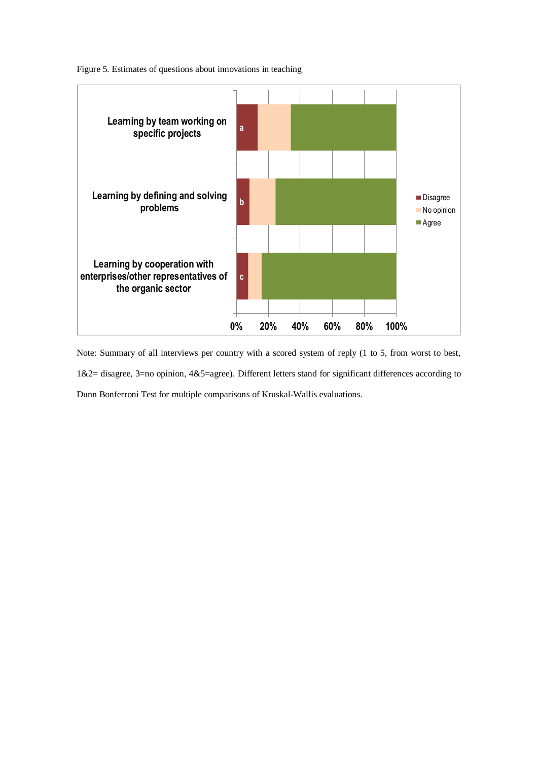

Figure 5. Estimates of questions about innovations in teaching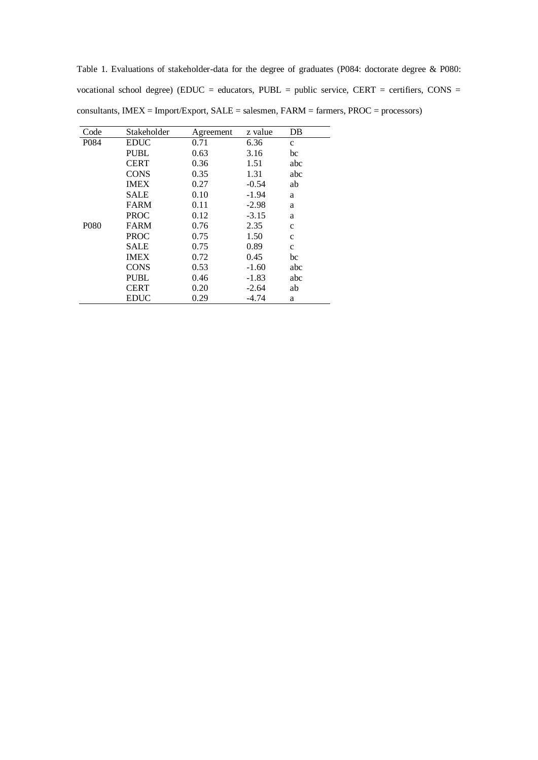Table 1. Evaluations of stakeholder-data for the degree of graduates (P084: doctorate degree & P080: vocational school degree) (EDUC = educators, PUBL = public service, CERT = certifiers, CONS = consultants, IMEX = Import/Export, SALE = salesmen, FARM = farmers, PROC = processors)

| Code              | Stakeholder | Agreement | z value | DB           |
|-------------------|-------------|-----------|---------|--------------|
| P084              | EDUC        | 0.71      | 6.36    | $\mathbf c$  |
|                   | <b>PUBL</b> | 0.63      | 3.16    | bc           |
|                   | CERT        | 0.36      | 1.51    | abc          |
|                   | <b>CONS</b> | 0.35      | 1.31    | abc          |
|                   | <b>IMEX</b> | 0.27      | $-0.54$ | ab           |
|                   | SALE        | 0.10      | $-1.94$ | a            |
|                   | <b>FARM</b> | 0.11      | $-2.98$ | a            |
|                   | <b>PROC</b> | 0.12      | $-3.15$ | a            |
| P <sub>0</sub> 80 | FARM        | 0.76      | 2.35    | $\mathbf{C}$ |
|                   | PROC        | 0.75      | 1.50    | $\mathbf{C}$ |
|                   | SALE        | 0.75      | 0.89    | $\mathbf{C}$ |
|                   | <b>IMEX</b> | 0.72      | 0.45    | bc           |
|                   | <b>CONS</b> | 0.53      | $-1.60$ | abc          |
|                   | <b>PUBL</b> | 0.46      | $-1.83$ | abc          |
|                   | <b>CERT</b> | 0.20      | $-2.64$ | ab           |
|                   | EDUC        | 0.29      | $-4.74$ | a            |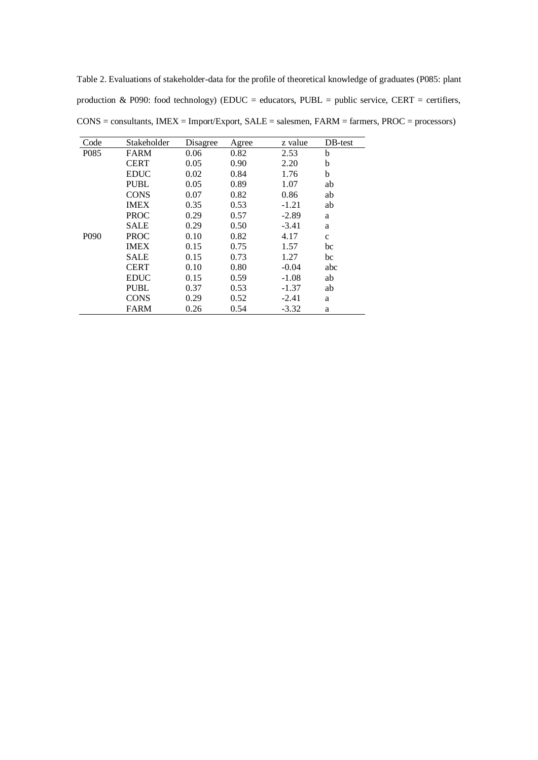Table 2. Evaluations of stakeholder-data for the profile of theoretical knowledge of graduates (P085: plant production & P090: food technology) (EDUC = educators, PUBL = public service, CERT = certifiers, CONS = consultants, IMEX = Import/Export, SALE = salesmen, FARM = farmers, PROC = processors)

| Code             | Stakeholder | Disagree | Agree | z value | DB-test      |
|------------------|-------------|----------|-------|---------|--------------|
| P085             | FARM        | 0.06     | 0.82  | 2.53    | b            |
|                  | <b>CERT</b> | 0.05     | 0.90  | 2.20    | b            |
|                  | <b>EDUC</b> | 0.02     | 0.84  | 1.76    | b            |
|                  | <b>PUBL</b> | 0.05     | 0.89  | 1.07    | ab           |
|                  | <b>CONS</b> | 0.07     | 0.82  | 0.86    | ab           |
|                  | <b>IMEX</b> | 0.35     | 0.53  | $-1.21$ | ab           |
|                  | <b>PROC</b> | 0.29     | 0.57  | $-2.89$ | a            |
|                  | <b>SALE</b> | 0.29     | 0.50  | $-3.41$ | a            |
| P <sub>090</sub> | <b>PROC</b> | 0.10     | 0.82  | 4.17    | $\mathbf{C}$ |
|                  | <b>IMEX</b> | 0.15     | 0.75  | 1.57    | bc           |
|                  | <b>SALE</b> | 0.15     | 0.73  | 1.27    | bc           |
|                  | <b>CERT</b> | 0.10     | 0.80  | $-0.04$ | abc          |
|                  | <b>EDUC</b> | 0.15     | 0.59  | $-1.08$ | ab           |
|                  | <b>PUBL</b> | 0.37     | 0.53  | $-1.37$ | ab           |
|                  | <b>CONS</b> | 0.29     | 0.52  | $-2.41$ | a            |
|                  | <b>FARM</b> | 0.26     | 0.54  | $-3.32$ | a            |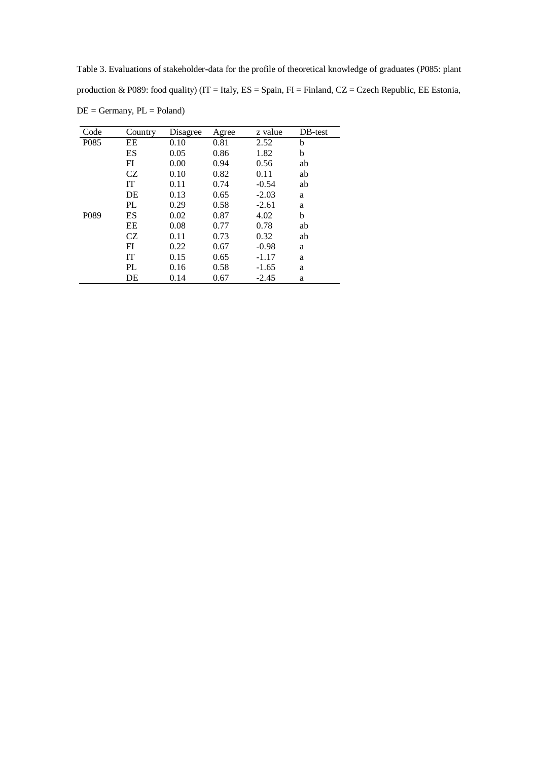Table 3. Evaluations of stakeholder-data for the profile of theoretical knowledge of graduates (P085: plant production & P089: food quality) (IT = Italy, ES = Spain, FI = Finland, CZ = Czech Republic, EE Estonia,  $DE = Germany$ ,  $PL = Poland$ )

| Code              | Country | Disagree | Agree | z value | DB-test |
|-------------------|---------|----------|-------|---------|---------|
| P <sub>0</sub> 85 | EE      | 0.10     | 0.81  | 2.52    | b       |
|                   | ES      | 0.05     | 0.86  | 1.82    | b       |
|                   | FI      | 0.00     | 0.94  | 0.56    | ab      |
|                   | CZ      | 0.10     | 0.82  | 0.11    | ab      |
|                   | IT      | 0.11     | 0.74  | $-0.54$ | ab      |
|                   | DE      | 0.13     | 0.65  | $-2.03$ | a       |
|                   | PL      | 0.29     | 0.58  | $-2.61$ | a       |
| P <sub>0</sub> 89 | ES      | 0.02     | 0.87  | 4.02    | b       |
|                   | EE      | 0.08     | 0.77  | 0.78    | ab      |
|                   | CZ      | 0.11     | 0.73  | 0.32    | ab      |
|                   | FI      | 0.22     | 0.67  | $-0.98$ | a       |
|                   | IT      | 0.15     | 0.65  | $-1.17$ | a       |
|                   | PL      | 0.16     | 0.58  | $-1.65$ | a       |
|                   | DE      | 0.14     | 0.67  | $-2.45$ | a       |